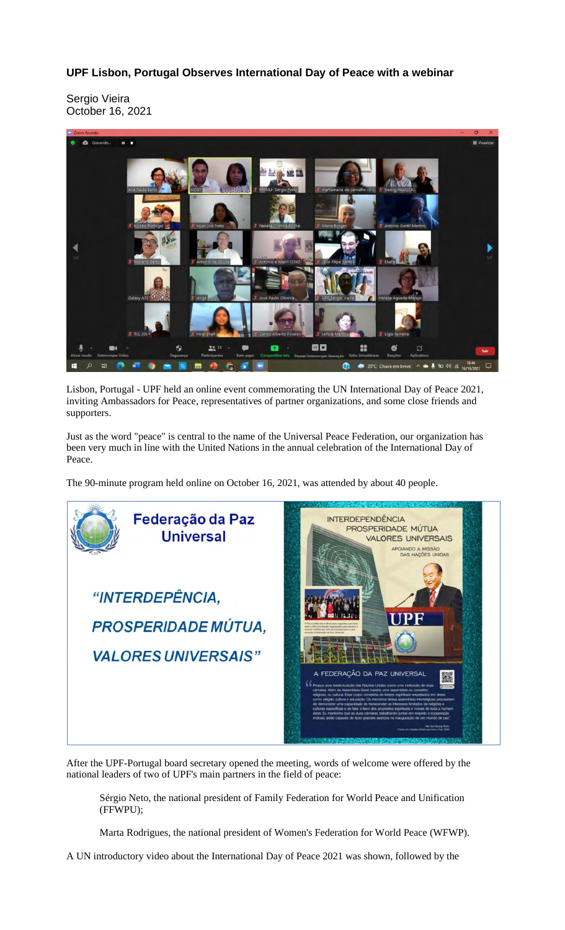## **UPF Lisbon, Portugal Observes International Day of Peace with a webinar**

Sergio Vieira October 16, 2021



Lisbon, Portugal - UPF held an online event commemorating the UN International Day of Peace 2021, inviting Ambassadors for Peace, representatives of partner organizations, and some close friends and supporters.

Just as the word "peace" is central to the name of the Universal Peace Federation, our organization has been very much in line with the United Nations in the annual celebration of the International Day of Peace.

The 90-minute program held online on October 16, 2021, was attended by about 40 people.



After the UPF-Portugal board secretary opened the meeting, words of welcome were offered by the national leaders of two of UPF's main partners in the field of peace:

Sérgio Neto, the national president of Family Federation for World Peace and Unification (FFWPU);

Marta Rodrigues, the national president of Women's Federation for World Peace (WFWP).

A UN introductory video about the International Day of Peace 2021 was shown, followed by the